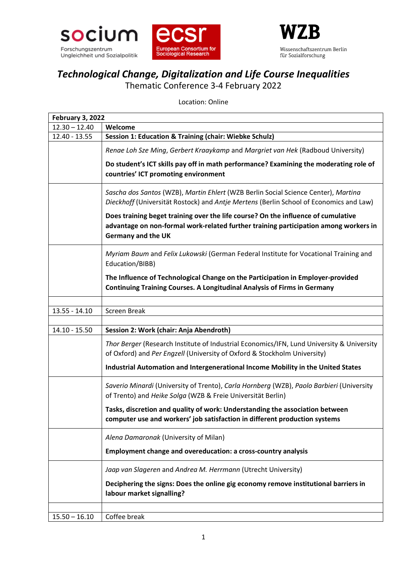





## *Technological Change, Digitalization and Life Course Inequalities*

Thematic Conference 3-4 February 2022

Location: Online

| <b>February 3, 2022</b> |                                                                                                                                                                                                        |
|-------------------------|--------------------------------------------------------------------------------------------------------------------------------------------------------------------------------------------------------|
| $12.30 - 12.40$         | Welcome                                                                                                                                                                                                |
| 12.40 - 13.55           | Session 1: Education & Training (chair: Wiebke Schulz)                                                                                                                                                 |
|                         | Renae Loh Sze Ming, Gerbert Kraaykamp and Margriet van Hek (Radboud University)                                                                                                                        |
|                         | Do student's ICT skills pay off in math performance? Examining the moderating role of<br>countries' ICT promoting environment                                                                          |
|                         | Sascha dos Santos (WZB), Martin Ehlert (WZB Berlin Social Science Center), Martina<br>Dieckhoff (Universität Rostock) and Antje Mertens (Berlin School of Economics and Law)                           |
|                         | Does training beget training over the life course? On the influence of cumulative<br>advantage on non-formal work-related further training participation among workers in<br><b>Germany and the UK</b> |
|                         | Myriam Baum and Felix Lukowski (German Federal Institute for Vocational Training and<br>Education/BIBB)                                                                                                |
|                         | The Influence of Technological Change on the Participation in Employer-provided<br><b>Continuing Training Courses. A Longitudinal Analysis of Firms in Germany</b>                                     |
|                         | <b>Screen Break</b>                                                                                                                                                                                    |
| $13.55 - 14.10$         |                                                                                                                                                                                                        |
| $14.10 - 15.50$         | Session 2: Work (chair: Anja Abendroth)                                                                                                                                                                |
|                         | Thor Berger (Research Institute of Industrial Economics/IFN, Lund University & University<br>of Oxford) and Per Engzell (University of Oxford & Stockholm University)                                  |
|                         | Industrial Automation and Intergenerational Income Mobility in the United States                                                                                                                       |
|                         | Saverio Minardi (University of Trento), Carla Hornberg (WZB), Paolo Barbieri (University<br>of Trento) and Heike Solga (WZB & Freie Universität Berlin)                                                |
|                         | Tasks, discretion and quality of work: Understanding the association between<br>computer use and workers' job satisfaction in different production systems                                             |
|                         | Alena Damaronak (University of Milan)                                                                                                                                                                  |
|                         | Employment change and overeducation: a cross-country analysis                                                                                                                                          |
|                         | Jaap van Slageren and Andrea M. Herrmann (Utrecht University)                                                                                                                                          |
|                         | Deciphering the signs: Does the online gig economy remove institutional barriers in<br>labour market signalling?                                                                                       |
|                         |                                                                                                                                                                                                        |
| $15.50 - 16.10$         | Coffee break                                                                                                                                                                                           |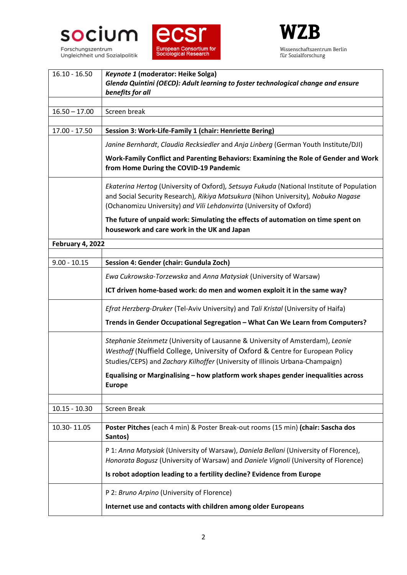

Ungleichheit und Sozialpolitik





| $16.10 - 16.50$  | Keynote 1 (moderator: Heike Solga)<br>Glenda Quintini (OECD): Adult learning to foster technological change and ensure<br>benefits for all                                                                                                            |
|------------------|-------------------------------------------------------------------------------------------------------------------------------------------------------------------------------------------------------------------------------------------------------|
| $16.50 - 17.00$  | Screen break                                                                                                                                                                                                                                          |
|                  |                                                                                                                                                                                                                                                       |
| 17.00 - 17.50    | Session 3: Work-Life-Family 1 (chair: Henriette Bering)                                                                                                                                                                                               |
|                  | Janine Bernhardt, Claudia Recksiedler and Anja Linberg (German Youth Institute/DJI)                                                                                                                                                                   |
|                  | Work-Family Conflict and Parenting Behaviors: Examining the Role of Gender and Work<br>from Home During the COVID-19 Pandemic                                                                                                                         |
|                  | Ekaterina Hertog (University of Oxford), Setsuya Fukuda (National Institute of Population<br>and Social Security Research), Rikiya Matsukura (Nihon University), Nobuko Nagase<br>(Ochanomizu University) and Vili Lehdonvirta (University of Oxford) |
|                  | The future of unpaid work: Simulating the effects of automation on time spent on<br>housework and care work in the UK and Japan                                                                                                                       |
| February 4, 2022 |                                                                                                                                                                                                                                                       |
| $9.00 - 10.15$   |                                                                                                                                                                                                                                                       |
|                  | Session 4: Gender (chair: Gundula Zoch)                                                                                                                                                                                                               |
|                  | Ewa Cukrowska-Torzewska and Anna Matysiak (University of Warsaw)                                                                                                                                                                                      |
|                  | ICT driven home-based work: do men and women exploit it in the same way?                                                                                                                                                                              |
|                  | Efrat Herzberg-Druker (Tel-Aviv University) and Tali Kristal (University of Haifa)                                                                                                                                                                    |
|                  | Trends in Gender Occupational Segregation - What Can We Learn from Computers?                                                                                                                                                                         |
|                  | Stephanie Steinmetz (University of Lausanne & University of Amsterdam), Leonie                                                                                                                                                                        |
|                  | Westhoff (Nuffield College, University of Oxford & Centre for European Policy                                                                                                                                                                         |
|                  | Studies/CEPS) and Zachary Kilhoffer (University of Illinois Urbana-Champaign)                                                                                                                                                                         |
|                  | Equalising or Marginalising - how platform work shapes gender inequalities across<br><b>Europe</b>                                                                                                                                                    |
|                  |                                                                                                                                                                                                                                                       |
| $10.15 - 10.30$  | Screen Break                                                                                                                                                                                                                                          |
| 10.30-11.05      | Poster Pitches (each 4 min) & Poster Break-out rooms (15 min) (chair: Sascha dos<br>Santos)                                                                                                                                                           |
|                  | P 1: Anna Matysiak (University of Warsaw), Daniela Bellani (University of Florence),<br>Honorata Bogusz (University of Warsaw) and Daniele Vignoli (University of Florence)                                                                           |
|                  | Is robot adoption leading to a fertility decline? Evidence from Europe                                                                                                                                                                                |
|                  | P 2: Bruno Arpino (University of Florence)                                                                                                                                                                                                            |
|                  | Internet use and contacts with children among older Europeans                                                                                                                                                                                         |